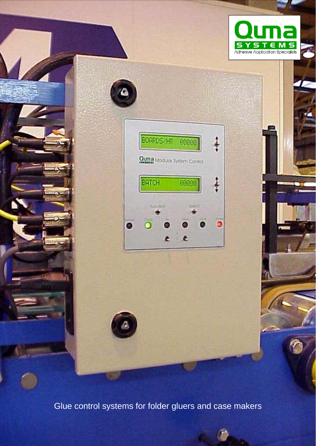





Glue control systems for folder gluers and case makers

٥

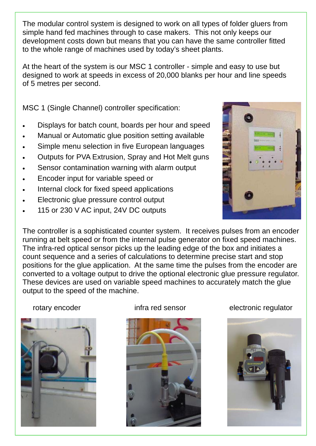The modular control system is designed to work on all types of folder gluers from simple hand fed machines through to case makers. This not only keeps our development costs down but means that you can have the same controller fitted to the whole range of machines used by today's sheet plants.

At the heart of the system is our MSC 1 controller - simple and easy to use but designed to work at speeds in excess of 20,000 blanks per hour and line speeds of 5 metres per second.

MSC 1 (Single Channel) controller specification:

- Displays for batch count, boards per hour and speed
- Manual or Automatic glue position setting available
- Simple menu selection in five European languages
- Outputs for PVA Extrusion, Spray and Hot Melt guns
- Sensor contamination warning with alarm output
- Encoder input for variable speed or
- Internal clock for fixed speed applications
- Electronic glue pressure control output
- 115 or 230 V AC input, 24V DC outputs

The controller is a sophisticated counter system. It receives pulses from an encoder running at belt speed or from the internal pulse generator on fixed speed machines. The infra-red optical sensor picks up the leading edge of the box and initiates a count sequence and a series of calculations to determine precise start and stop positions for the glue application. At the same time the pulses from the encoder are converted to a voltage output to drive the optional electronic glue pressure regulator. These devices are used on variable speed machines to accurately match the glue output to the speed of the machine.





rotary encoder **infra red sensor** electronic regulator



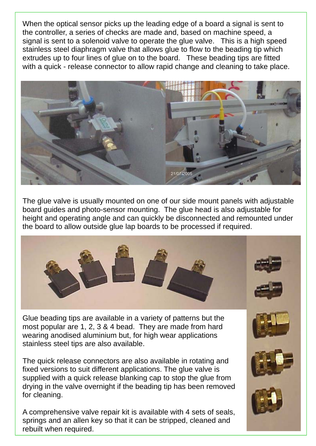When the optical sensor picks up the leading edge of a board a signal is sent to the controller, a series of checks are made and, based on machine speed, a signal is sent to a solenoid valve to operate the glue valve. This is a high speed stainless steel diaphragm valve that allows glue to flow to the beading tip which extrudes up to four lines of glue on to the board. These beading tips are fitted with a quick - release connector to allow rapid change and cleaning to take place.



The glue valve is usually mounted on one of our side mount panels with adjustable board guides and photo-sensor mounting. The glue head is also adjustable for height and operating angle and can quickly be disconnected and remounted under the board to allow outside glue lap boards to be processed if required.



Glue beading tips are available in a variety of patterns but the most popular are 1, 2, 3 & 4 bead. They are made from hard wearing anodised aluminium but, for high wear applications stainless steel tips are also available.

The quick release connectors are also available in rotating and fixed versions to suit different applications. The glue valve is supplied with a quick release blanking cap to stop the glue from drying in the valve overnight if the beading tip has been removed for cleaning.

A comprehensive valve repair kit is available with 4 sets of seals, springs and an allen key so that it can be stripped, cleaned and rebuilt when required.